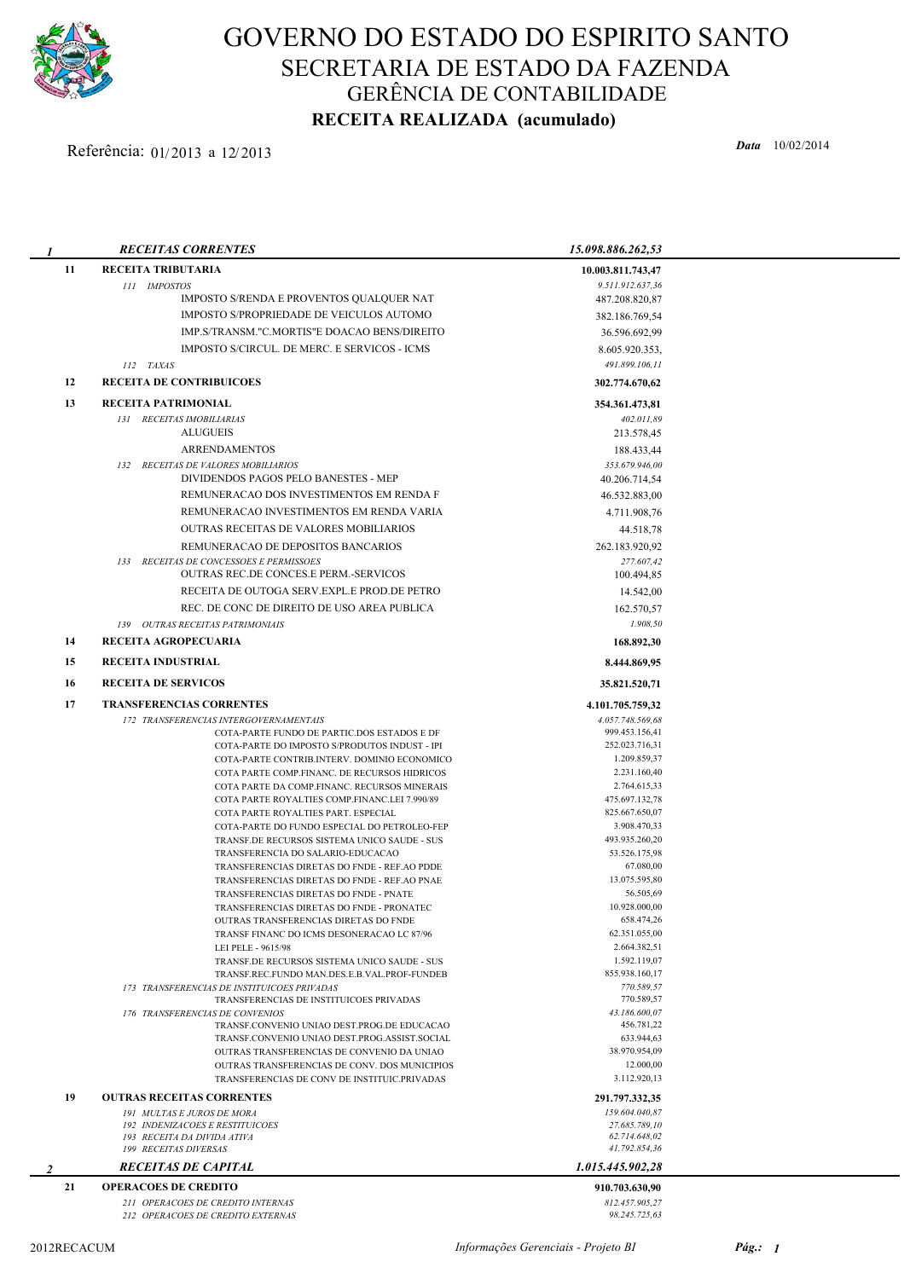

## GOVERNO DO ESTADO DO ESPIRITO SANTO SECRETARIA DE ESTADO DA FAZENDA GERÊNCIA DE CONTABILIDADE RECEITA REALIZADA (acumulado)

## Referência: 01/2013 a 12/2013

| 1  | <b>RECEITAS CORRENTES</b>                                                                    | 15.098.886.262,53               |  |
|----|----------------------------------------------------------------------------------------------|---------------------------------|--|
| 11 | <b>RECEITA TRIBUTARIA</b>                                                                    | 10.003.811.743,47               |  |
|    | 111 IMPOSTOS                                                                                 | 9.511.912.637,36                |  |
|    | IMPOSTO S/RENDA E PROVENTOS QUALQUER NAT                                                     | 487.208.820,87                  |  |
|    | IMPOSTO S/PROPRIEDADE DE VEICULOS AUTOMO                                                     | 382.186.769,54                  |  |
|    | IMP.S/TRANSM."C.MORTIS"E DOACAO BENS/DIREITO                                                 | 36.596.692,99                   |  |
|    | IMPOSTO S/CIRCUL. DE MERC. E SERVICOS - ICMS                                                 | 8.605.920.353,                  |  |
|    | 112 TAXAS                                                                                    | 491.899.106,11                  |  |
| 12 | <b>RECEITA DE CONTRIBUICOES</b>                                                              | 302,774,670,62                  |  |
| 13 | RECEITA PATRIMONIAL                                                                          | 354.361.473,81                  |  |
|    | 131 RECEITAS IMOBILIARIAS                                                                    | 402.011,89                      |  |
|    | <b>ALUGUEIS</b>                                                                              | 213.578,45                      |  |
|    | <b>ARRENDAMENTOS</b>                                                                         | 188.433,44                      |  |
|    | 132 RECEITAS DE VALORES MOBILIARIOS                                                          | 353.679.946,00                  |  |
|    | DIVIDENDOS PAGOS PELO BANESTES - MEP                                                         | 40.206.714,54                   |  |
|    | REMUNERACAO DOS INVESTIMENTOS EM RENDA F                                                     | 46.532.883,00                   |  |
|    | REMUNERACAO INVESTIMENTOS EM RENDA VARIA                                                     | 4.711.908,76                    |  |
|    | <b>OUTRAS RECEITAS DE VALORES MOBILIARIOS</b>                                                | 44.518,78                       |  |
|    | REMUNERACAO DE DEPOSITOS BANCARIOS                                                           | 262.183.920,92                  |  |
|    | 133 RECEITAS DE CONCESSOES E PERMISSOES                                                      | 277.607,42                      |  |
|    | <b>OUTRAS REC.DE CONCES.E PERM.-SERVICOS</b>                                                 | 100.494,85                      |  |
|    | RECEITA DE OUTOGA SERV.EXPL.E PROD.DE PETRO                                                  | 14.542,00                       |  |
|    | REC. DE CONC DE DIREITO DE USO AREA PUBLICA                                                  | 162.570,57                      |  |
|    | 139 OUTRAS RECEITAS PATRIMONIAIS                                                             | 1.908,50                        |  |
| 14 | RECEITA AGROPECUARIA                                                                         | 168.892,30                      |  |
| 15 | <b>RECEITA INDUSTRIAL</b>                                                                    | 8.444.869,95                    |  |
| 16 | <b>RECEITA DE SERVICOS</b>                                                                   | 35.821.520,71                   |  |
| 17 | <b>TRANSFERENCIAS CORRENTES</b>                                                              | 4.101.705.759,32                |  |
|    | 172 TRANSFERENCIAS INTERGOVERNAMENTAIS                                                       | 4.057.748.569,68                |  |
|    | COTA-PARTE FUNDO DE PARTIC.DOS ESTADOS E DF                                                  | 999.453.156,41                  |  |
|    | COTA-PARTE DO IMPOSTO S/PRODUTOS INDUST - IPI                                                | 252.023.716,31                  |  |
|    | COTA-PARTE CONTRIB.INTERV. DOMINIO ECONOMICO<br>COTA PARTE COMP.FINANC. DE RECURSOS HIDRICOS | 1.209.859,37<br>2.231.160,40    |  |
|    | COTA PARTE DA COMP.FINANC. RECURSOS MINERAIS                                                 | 2.764.615,33                    |  |
|    | COTA PARTE ROYALTIES COMP.FINANC.LEI 7.990/89                                                | 475.697.132,78                  |  |
|    | COTA PARTE ROYALTIES PART. ESPECIAL                                                          | 825.667.650,07                  |  |
|    | COTA-PARTE DO FUNDO ESPECIAL DO PETROLEO-FEP                                                 | 3.908.470,33                    |  |
|    | TRANSF.DE RECURSOS SISTEMA UNICO SAUDE - SUS                                                 | 493.935.260,20<br>53.526.175,98 |  |
|    | TRANSFERENCIA DO SALARIO-EDUCACAO<br>TRANSFERENCIAS DIRETAS DO FNDE - REF.AO PDDE            | 67.080,00                       |  |
|    | TRANSFERENCIAS DIRETAS DO FNDE - REF.AO PNAE                                                 | 13.075.595,80                   |  |
|    | TRANSFERENCIAS DIRETAS DO FNDE - PNATE                                                       | 56.505,69                       |  |
|    | TRANSFERENCIAS DIRETAS DO FNDE - PRONATEC                                                    | 10.928.000,00                   |  |
|    | OUTRAS TRANSFERENCIAS DIRETAS DO FNDE<br>TRANSF FINANC DO ICMS DESONERACAO LC 87/96          | 658.474,26<br>62.351.055,00     |  |
|    | LEI PELE - 9615/98                                                                           | 2.664.382,51                    |  |
|    | TRANSF.DE RECURSOS SISTEMA UNICO SAUDE - SUS                                                 | 1.592.119,07                    |  |
|    | TRANSF.REC.FUNDO MAN.DES.E.B.VAL.PROF-FUNDEB                                                 | 855.938.160,17                  |  |
|    | 173 TRANSFERENCIAS DE INSTITUICOES PRIVADAS                                                  | 770.589.57                      |  |
|    | TRANSFERENCIAS DE INSTITUICOES PRIVADAS                                                      | 770.589,57<br>43.186.600,07     |  |
|    | 176 TRANSFERENCIAS DE CONVENIOS<br>TRANSF.CONVENIO UNIAO DEST.PROG.DE EDUCACAO               | 456.781,22                      |  |
|    | TRANSF.CONVENIO UNIAO DEST.PROG.ASSIST.SOCIAL                                                | 633.944,63                      |  |
|    | OUTRAS TRANSFERENCIAS DE CONVENIO DA UNIAO                                                   | 38.970.954,09                   |  |
|    | OUTRAS TRANSFERENCIAS DE CONV. DOS MUNICIPIOS                                                | 12.000,00                       |  |
|    | TRANSFERENCIAS DE CONV DE INSTITUIC.PRIVADAS                                                 | 3.112.920,13                    |  |
| 19 | <b>OUTRAS RECEITAS CORRENTES</b>                                                             | 291.797.332,35                  |  |
|    | 191 MULTAS E JUROS DE MORA                                                                   | 159.604.040,87                  |  |
|    | 192 INDENIZACOES E RESTITUICOES<br>193 RECEITA DA DIVIDA ATIVA                               | 27.685.789,10<br>62.714.648,02  |  |
|    | 199 RECEITAS DIVERSAS                                                                        | 41.792.854,36                   |  |
| 2  | <b>RECEITAS DE CAPITAL</b>                                                                   | 1.015.445.902,28                |  |
| 21 | <b>OPERACOES DE CREDITO</b>                                                                  | 910.703.630,90                  |  |
|    | 211 OPERACOES DE CREDITO INTERNAS                                                            | 812.457.905,27                  |  |

212 OPERACOES DE CREDITO EXTERNAS 98.245.725,63